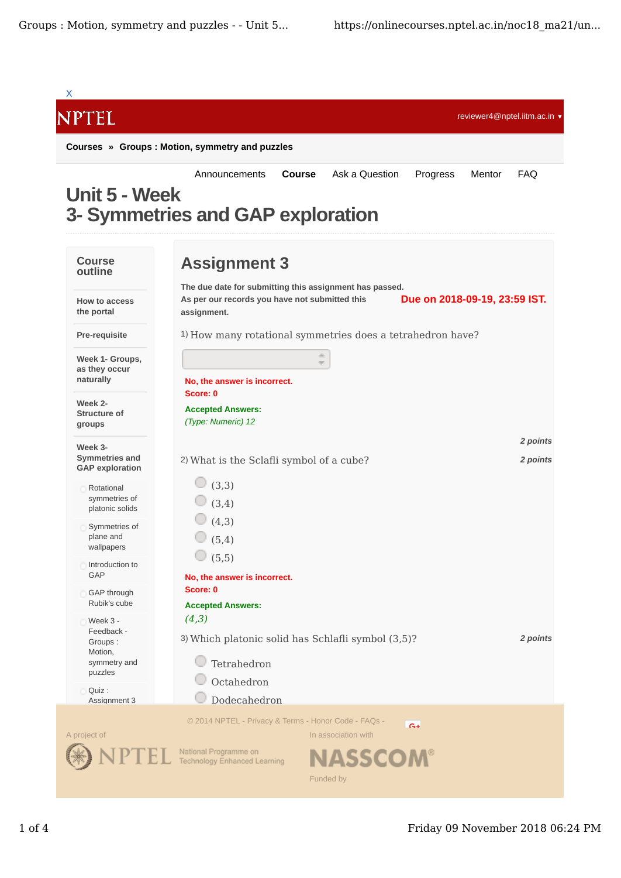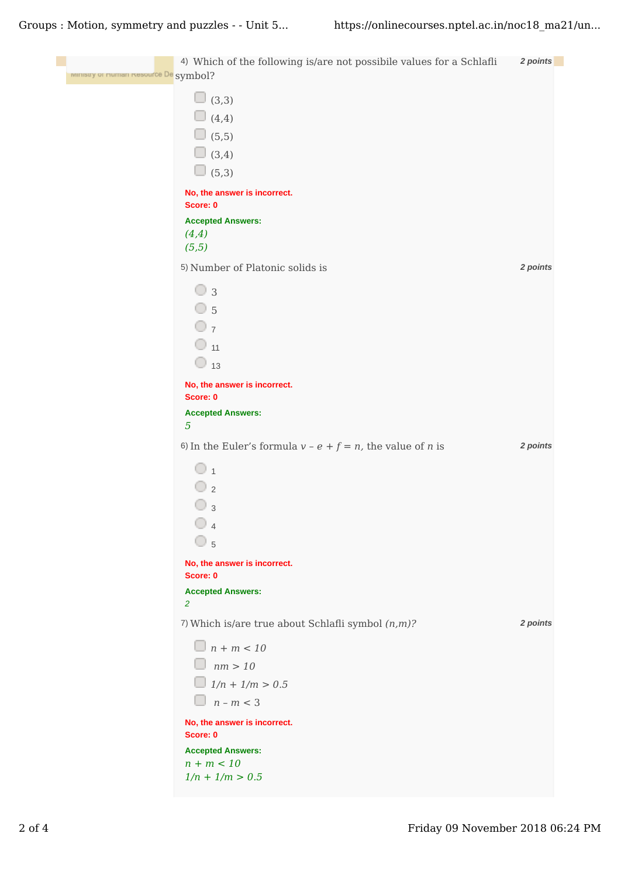Groups : Motion, symmetry and puzzles - - Unit 5... https://onlinecourses.nptel.ac.in/noc18\_ma21/un...

| ministry of Human Resource De symbol? | 4) Which of the following is/are not possibile values for a Schlafli                     | 2 points |
|---------------------------------------|------------------------------------------------------------------------------------------|----------|
|                                       | $\Box$ (3,3)                                                                             |          |
|                                       | $\Box$ (4,4)                                                                             |          |
|                                       | $\Box$ (5,5)                                                                             |          |
|                                       | $\Box$ (3,4)                                                                             |          |
|                                       | $\Box$ (5,3)                                                                             |          |
|                                       | No, the answer is incorrect.<br>Score: 0                                                 |          |
|                                       | <b>Accepted Answers:</b>                                                                 |          |
|                                       | (4,4)                                                                                    |          |
|                                       | (5,5)                                                                                    |          |
|                                       | 5) Number of Platonic solids is                                                          | 2 points |
|                                       | $\circ$ 3                                                                                |          |
|                                       | $\circ$ 5                                                                                |          |
|                                       | $\overline{O}$ 7                                                                         |          |
|                                       | $\circ$ 11                                                                               |          |
|                                       | $\bigcirc$ 13                                                                            |          |
|                                       | No, the answer is incorrect.                                                             |          |
|                                       | Score: 0<br><b>Accepted Answers:</b>                                                     |          |
|                                       | $\overline{5}$                                                                           |          |
|                                       | 6)<br>In the Euler's formula<br>$v$ - $e$ + $f$ =<br>$n,$ the value of $n$ is            | 2 points |
|                                       | $\circ$ 1                                                                                |          |
|                                       | $\overline{\bigcirc}$ 2                                                                  |          |
|                                       | $\overline{3}$                                                                           |          |
|                                       | $\bigcirc$ 4                                                                             |          |
|                                       | $\overline{\cup}$ 5                                                                      |          |
|                                       | No, the answer is incorrect.<br>Score: 0                                                 |          |
|                                       | <b>Accepted Answers:</b>                                                                 |          |
|                                       | $\overline{2}$<br>7)<br>Which is/are true about Schlafli symbol<br>$(n,m)\textnormal{?}$ | 2 points |
|                                       | $\Box$ n + m < 10                                                                        |          |
|                                       | $\Box$ nm > 10                                                                           |          |
|                                       | $1/n + 1/m > 0.5$                                                                        |          |
|                                       | $n-m < 3$<br>$\Box$                                                                      |          |
|                                       | No, the answer is incorrect.                                                             |          |
|                                       | Score: 0                                                                                 |          |
|                                       | <b>Accepted Answers:</b><br>$n + m < 10$                                                 |          |
|                                       | $1/n + 1/m > 0.5$                                                                        |          |
|                                       |                                                                                          |          |